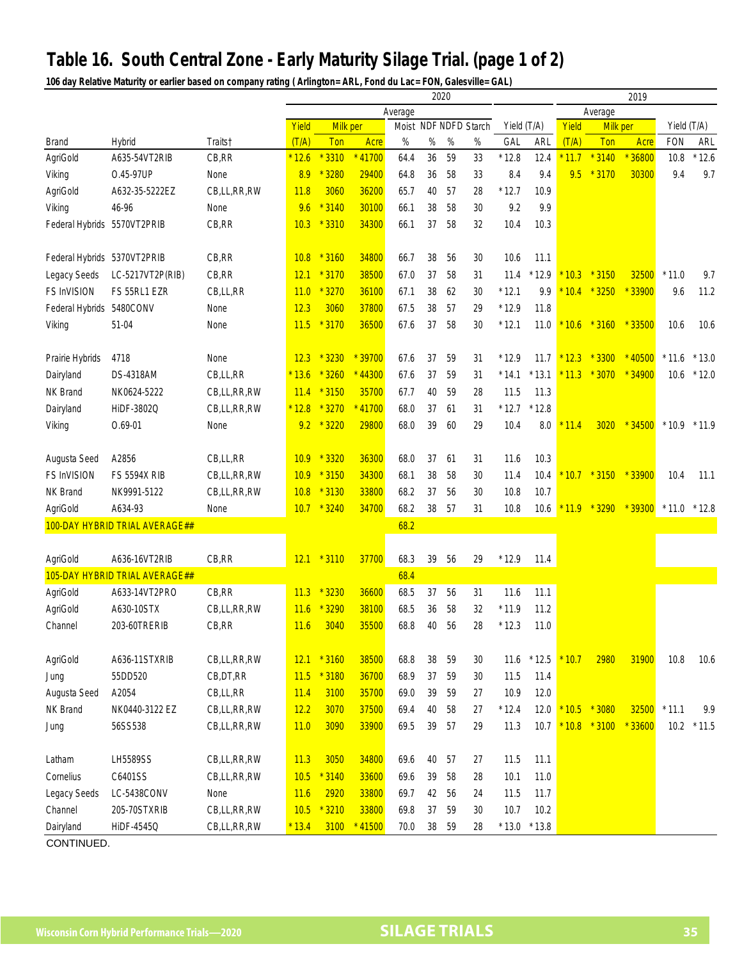## **Table 16. South Central Zone - Early Maturity Silage Trial. (page 1 of 2)**

**106 day Relative Maturity or earlier based on company rating ( Arlington= ARL, Fond du Lac= FON, Galesville= GAL)**

|                                |                                |             |         |                             |          |         |      | 2020                  |      | 2019        |         |         |          |          |                |         |
|--------------------------------|--------------------------------|-------------|---------|-----------------------------|----------|---------|------|-----------------------|------|-------------|---------|---------|----------|----------|----------------|---------|
|                                |                                |             |         |                             |          | Average |      |                       |      |             |         |         | Average  |          |                |         |
|                                |                                |             | Yield   | Milk per                    |          |         |      | Moist NDF NDFD Starch |      | Yield (T/A) |         | Yield   | Milk per |          | Yield (T/A)    |         |
| <b>Brand</b>                   | Hybrid                         | Traits†     | (T/A)   | Ton                         | Acre     | $\%$    | $\%$ | $\%$                  | $\%$ | GAL         | ARL     | (T/A)   | Ton      | Acre     | <b>FON</b>     | ARL     |
| AgriGold                       | A635-54VT2RIB                  | CB, RR      | $*12.6$ | 3310                        | 11700    | 64.4    | 36   | 59                    | 33   | $*12.8$     | 12.4    | 11.7    | $*3140$  | $*36800$ | 10.8           | $*12.6$ |
| Viking                         | 0.45-97UP                      | None        | 8.9     | 3280                        | 29400    | 64.8    | 36   | 58                    | 33   | 8.4         | 9.4     | 9.5     | $*3170$  | 30300    | 9.4            | 9.7     |
| AgriGold                       | A632-35-5222EZ                 | CB,LL,RR,RW | 11.8    | 3060                        | 36200    | 65.7    | 40   | 57                    | 28   | $*12.7$     | 10.9    |         |          |          |                |         |
| Viking                         | 46-96                          | None        | 9.6     | $*3140$                     | 30100    | 66.1    | 38   | 58                    | 30   | 9.2         | 9.9     |         |          |          |                |         |
| Federal Hybrids 5570VT2PRIB    |                                | CB, RR      | 10.3    | $*3310$                     | 34300    | 66.1    | 37   | 58                    | 32   | 10.4        | 10.3    |         |          |          |                |         |
| Federal Hybrids 5370VT2PRIB    |                                | CB, RR      | 10.8    | $*3160$                     | 34800    | 66.7    | 38   | 56                    | 30   | 10.6        | 11.1    |         |          |          |                |         |
| Legacy Seeds                   | LC-5217VT2P(RIB)               | CB,RR       | 12.1    | $*3170$                     | 38500    | 67.0    | 37   | 58                    | 31   | 11.4        | $*12.9$ | 10.3    | $*3150$  | 32500    | $*11.0$        | 9.7     |
| <b>FS InVISION</b>             | FS 55RL1 EZR                   | CB,LL,RR    | 11.0    | 3270                        | 36100    | 67.1    | 38   | 62                    | 30   | $*12.1$     | 9.9     | 10.4    | $*3250$  | $*33900$ | 9.6            | 11.2    |
| Federal Hybrids 5480CONV       |                                | None        | 12.3    | 3060                        | 37800    | 67.5    | 38   | 57                    | 29   | $*12.9$     | 11.8    |         |          |          |                |         |
| Viking                         | 51-04                          | None        | 11.5    | $*3170$                     | 36500    | 67.6    | 37   | 58                    | 30   | $*12.1$     | 11.0    | 10.6    | $*3160$  | $*33500$ | 10.6           | 10.6    |
| Prairie Hybrids                | 4718                           | None        | 12.3    | $*3230$                     | $*39700$ | 67.6    | 37   | 59                    | 31   | $*12.9$     | 11.7    | $*12.3$ | $*3300$  | $*40500$ | $*11.6$        | $*13.0$ |
| Dairyland                      | <b>DS-4318AM</b>               | CB,LL,RR    | $*13.6$ | 3260                        | $*44300$ | 67.6    | 37   | 59                    | 31   | $*14.1$     | $*13.1$ | $*11.3$ | $*3070$  | $*34900$ | 10.6           | $*12.0$ |
| NK Brand                       | NK0624-5222                    | CB,LL,RR,RW | 11.4    | $*3150$                     | 35700    | 67.7    | 40   | 59                    | 28   | 11.5        | 11.3    |         |          |          |                |         |
| Dairyland                      | HiDF-3802Q                     | CB,LL,RR,RW | $*12.8$ | 3270                        | $*41700$ | 68.0    | 37   | 61                    | 31   | $*12.7$     | $*12.8$ |         |          |          |                |         |
| Viking                         | $0.69 - 01$                    | None        | 9.2     | $*3220$                     | 29800    | 68.0    | 39   | 60                    | 29   | 10.4        | 8.0     | 11.4    | 3020     | $*34500$ | $*10.9$        | $*11.9$ |
|                                |                                |             |         |                             |          |         |      |                       |      |             |         |         |          |          |                |         |
| Augusta Seed                   | A2856                          | CB,LL,RR    | 10.9    | 3320<br>$\boldsymbol{\ast}$ | 36300    | 68.0    | 37   | 61                    | 31   | 11.6        | 10.3    |         |          |          |                |         |
| FS InVISION                    | <b>FS 5594X RIB</b>            | CB,LL,RR,RW | 10.9    | $*3150$                     | 34300    | 68.1    | 38   | 58                    | 30   | 11.4        | 10.4    | 10.7    | $*3150$  | $*33900$ | 10.4           | 11.1    |
| NK Brand                       | NK9991-5122                    | CB,LL,RR,RW | 10.8    | $*3130$                     | 33800    | 68.2    | 37   | 56                    | 30   | 10.8        | 10.7    |         |          |          |                |         |
| AgriGold                       | A634-93                        | None        | 10.7    | $*3240$                     | 34700    | 68.2    | 38   | 57                    | 31   | 10.8        | 10.6    | $*11.9$ | $*3290$  | $*39300$ | $*11.0 * 12.8$ |         |
| 100-DAY HYBRID TRIAL AVERAGE## |                                |             |         |                             |          | 68.2    |      |                       |      |             |         |         |          |          |                |         |
|                                |                                |             |         |                             |          |         |      |                       |      |             |         |         |          |          |                |         |
| AgriGold                       | A636-16VT2RIB                  | CB, RR      | 12.1    | $*3110$                     | 37700    | 68.3    | 39   | 56                    | 29   | $*12.9$     | 11.4    |         |          |          |                |         |
|                                | 105-DAY HYBRID TRIAL AVERAGE## |             |         |                             |          | 68.4    |      |                       |      |             |         |         |          |          |                |         |
| AgriGold                       | A633-14VT2PRO                  | CB, RR      | 11.3    | $*3230$                     | 36600    | 68.5    | 37   | 56                    | 31   | 11.6        | 11.1    |         |          |          |                |         |
| AgriGold                       | A630-10STX                     | CB,LL,RR,RW | 11.6    | 3290                        | 38100    | 68.5    | 36   | 58                    | 32   | $*11.9$     | 11.2    |         |          |          |                |         |
| Channel                        | 203-60TRERIB                   | CB, RR      | 11.6    | 3040                        | 35500    | 68.8    | 40   | 56                    | 28   | $*12.3$     | 11.0    |         |          |          |                |         |
| AgriGold                       | A636-11STXRIB                  | CB,LL,RR,RW | 12.1    | $*3160$                     | 38500    | 68.8    | 38   | 59                    | 30   | 11.6        | $*12.5$ | 10.7    | 2980     | 31900    | 10.8           | 10.6    |
| Jung                           | 55DD520                        | CB, DT, RR  | 11.5    | $*3180$                     | 36700    | 68.9    | 37   | 59                    | 30   | 11.5        | 11.4    |         |          |          |                |         |
| Augusta Seed                   | A2054                          | CB,LL,RR    | 11.4    | 3100                        | 35700    | 69.0    | 39   | 59                    | 27   | 10.9        | 12.0    |         |          |          |                |         |
| NK Brand                       | NK0440-3122 EZ                 | CB,LL,RR,RW | 12.2    | 3070                        | 37500    | 69.4    | 40   | 58                    | 27   | $*12.4$     | 12.0    | 10.5    | $*3080$  | 32500    | $*11.1$        | 9.9     |
| Jung                           | 56SS538                        | CB,LL,RR,RW | 11.0    | 3090                        | 33900    | 69.5    | 39   | 57                    | 29   | 11.3        | 10.7    | $*10.8$ | $*3100$  | $*33600$ | 10.2           | $*11.5$ |
|                                |                                |             |         |                             |          |         |      |                       |      |             |         |         |          |          |                |         |
| Latham                         | LH5589SS                       | CB,LL,RR,RW | 11.3    | 3050                        | 34800    | 69.6    | 40   | 57                    | 27   | 11.5        | 11.1    |         |          |          |                |         |
| Cornelius                      | C6401SS                        | CB,LL,RR,RW | 10.5    | $*3140$                     | 33600    | 69.6    | 39   | 58                    | 28   | 10.1        | 11.0    |         |          |          |                |         |
| Legacy Seeds                   | LC-5438CONV                    | None        | 11.6    | 2920                        | 33800    | 69.7    | 42   | 56                    | 24   | 11.5        | 11.7    |         |          |          |                |         |
| Channel                        | 205-70STXRIB                   | CB,LL,RR,RW | 10.5    | $*3210$                     | 33800    | 69.8    | 37   | 59                    | 30   | 10.7        | 10.2    |         |          |          |                |         |
| Dairyland                      | HiDF-4545Q                     | CB,LL,RR,RW | $*13.4$ | 3100                        | $*41500$ | 70.0    | 38   | 59                    | 28   | $*13.0$     | $*13.8$ |         |          |          |                |         |
| CONTINUED.                     |                                |             |         |                             |          |         |      |                       |      |             |         |         |          |          |                |         |